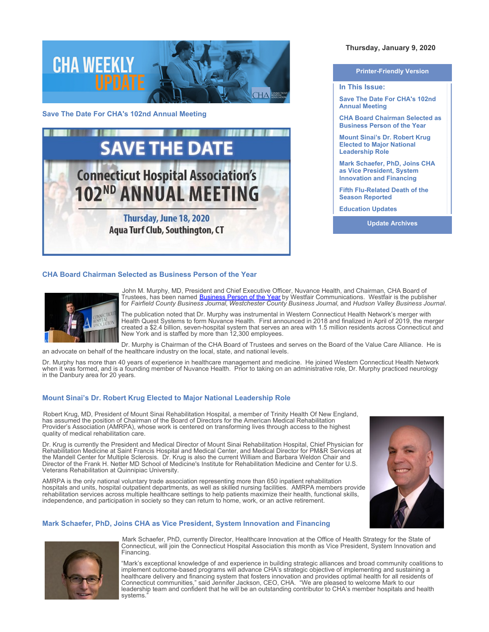

**Save The Date For CHA's 102nd Annual Meeting**



## **CHA Board Chairman Selected as Business Person of the Year**



John M. Murphy, MD, President and Chief Executive Officer, Nuvance Health, and Chairman, CHA Board of Trustees, has been named [Business Person of the Year](https://westfaironline.com/119789/dr-john-murphy-ceo-of-nuvance-health/) by Westfair Communications. Westfair is the publisher for *Fairfield County Business Journal*, *Westchester County Business Journal*, and *Hudson Valley Business Journal*.

The publication noted that Dr. Murphy was instrumental in Western Connecticut Health Network's merger with Health Quest Systems to form Nuvance Health. First announced in 2018 and finalized in April of 2019, the merger created a \$2.4 billion, seven-hospital system that serves an area with 1.5 million residents across Connecticut and New York and is staffed by more than 12,300 employees.

Dr. Murphy is Chairman of the CHA Board of Trustees and serves on the Board of the Value Care Alliance. He is an advocate on behalf of the healthcare industry on the local, state, and national levels.

Dr. Murphy has more than 40 years of experience in healthcare management and medicine. He joined Western Connecticut Health Network when it was formed, and is a founding member of Nuvance Health. Prior to taking on an administrative role, Dr. Murphy practiced neurology in the Danbury area for 20 years.

## **Mount Sinai's Dr. Robert Krug Elected to Major National Leadership Role**

Robert Krug, MD, President of Mount Sinai Rehabilitation Hospital, a member of Trinity Health Of New England, has assumed the position of Chairman of the Board of Directors for the American Medical Rehabilitation Provider's Association (AMRPA), whose work is centered on transforming lives through access to the highest quality of medical rehabilitation care.

Dr. Krug is currently the President and Medical Director of Mount Sinai Rehabilitation Hospital, Chief Physician for Rehabilitation Medicine at Saint Francis Hospital and Medical Center, and Medical Director for PM&R Services at the Mandell Center for Multiple Sclerosis. Dr. Krug is also the current William and Barbara Weldon Chair and Director of the Frank H. Netter MD School of Medicine's Institute for Rehabilitation Medicine and Center for U.S. Veterans Rehabilitation at Quinnipiac University.

AMRPA is the only national voluntary trade association representing more than 650 inpatient rehabilitation hospitals and units, hospital outpatient departments, as well as skilled nursing facilities. AMRPA members provide rehabilitation services across multiple healthcare settings to help patients maximize their health, functional skills, independence, and participation in society so they can return to home, work, or an active retirement.

## **Mark Schaefer, PhD, Joins CHA as Vice President, System Innovation and Financing**





Mark Schaefer, PhD, currently Director, Healthcare Innovation at the Office of Health Strategy for the State of Connecticut, will join the Connecticut Hospital Association this month as Vice President, System Innovation and Financing.

"Mark's exceptional knowledge of and experience in building strategic alliances and broad community coalitions to implement outcome-based programs will advance CHA's strategic objective of implementing and sustaining a healthcare delivery and financing system that fosters innovation and provides optimal health for all residents of Connecticut communities," said Jennifer Jackson, CEO, CHA. "We are pleased to welcome Mark to our leadership team and confident that he will be an outstanding contributor to CHA's member hospitals and health systems."

# **Thursday, January 9, 2020**

| <b>Printer-Friendly Version</b>                                                                      |  |
|------------------------------------------------------------------------------------------------------|--|
| In This Issue:                                                                                       |  |
| Save The Date For CHA's 102nd<br><b>Annual Meeting</b>                                               |  |
| <b>CHA Board Chairman Selected as</b><br><b>Business Person of the Year</b>                          |  |
| <b>Mount Sinai's Dr. Robert Krug</b><br><b>Elected to Major National</b><br><b>Leadership Role</b>   |  |
| <b>Mark Schaefer, PhD, Joins CHA</b><br>as Vice President, System<br><b>Innovation and Financing</b> |  |
| <b>Fifth Flu-Related Death of the</b><br><b>Season Reported</b>                                      |  |
| <b>Education Updates</b>                                                                             |  |
| <b>Update Archives</b>                                                                               |  |
|                                                                                                      |  |